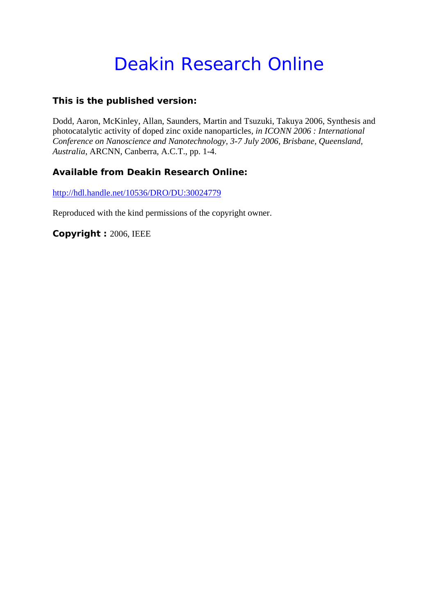# Deakin Research Online

### **This is the published version:**

Dodd, Aaron, McKinley, Allan, Saunders, Martin and Tsuzuki, Takuya 2006, Synthesis and photocatalytic activity of doped zinc oxide nanoparticles*, in ICONN 2006 : International Conference on Nanoscience and Nanotechnology, 3-7 July 2006, Brisbane, Queensland, Australia*, ARCNN, Canberra, A.C.T., pp. 1-4.

## **Available from Deakin Research Online:**

http://hdl.handle.net/10536/DRO/DU:30024779

Reproduced with the kind permissions of the copyright owner.

**Copyright :** 2006, IEEE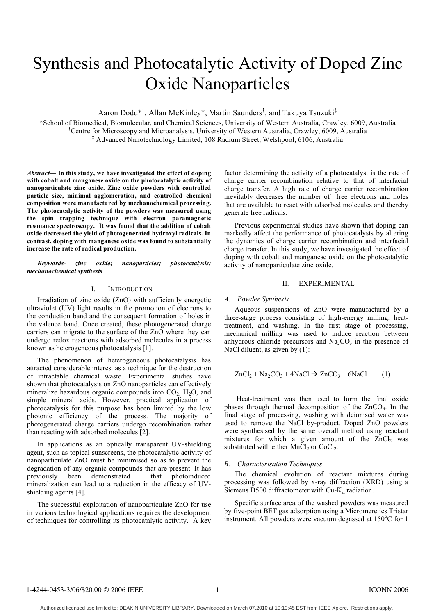## Synthesis and Photocatalytic Activity of Doped Zinc Oxide Nanoparticles

Aaron Dodd\*† , Allan McKinley\*, Martin Saunders† , and Takuya Tsuzuki‡

\*School of Biomedical, Biomolecular, and Chemical Sciences, University of Western Australia, Crawley, 6009, Australia † Centre for Microscopy and Microanalysis, University of Western Australia, Crawley, 6009, Australia ‡ Advanced Nanotechnology Limited, 108 Radium Street, Welshpool, 6106, Australia

*Abstract***— In this study, we have investigated the effect of doping with cobalt and manganese oxide on the photocatalytic activity of nanoparticulate zinc oxide. Zinc oxide powders with controlled particle size, minimal agglomeration, and controlled chemical composition were manufactured by mechanochemical processing. The photocatalytic activity of the powders was measured using the spin trapping technique with electron paramagnetic resonance spectroscopy. It was found that the addition of cobalt oxide decreased the yield of photogenerated hydroxyl radicals. In contrast, doping with manganese oxide was found to substantially increase the rate of radical production.**

*Keywords- zinc oxide; nanoparticles; photocatalysis; mechanochemical synthesis*

#### I. INTRODUCTION

Irradiation of zinc oxide (ZnO) with sufficiently energetic ultraviolet (UV) light results in the promotion of electrons to the conduction band and the consequent formation of holes in the valence band. Once created, these photogenerated charge carriers can migrate to the surface of the ZnO where they can undergo redox reactions with adsorbed molecules in a process known as heterogeneous photocatalysis [1].

The phenomenon of heterogeneous photocatalysis has attracted considerable interest as a technique for the destruction of intractable chemical waste. Experimental studies have shown that photocatalysis on ZnO nanoparticles can effectively mineralize hazardous organic compounds into  $CO<sub>2</sub>$ ,  $H<sub>2</sub>O$ , and simple mineral acids. However, practical application of photocatalysis for this purpose has been limited by the low photonic efficiency of the process. The majority of photogenerated charge carriers undergo recombination rather than reacting with adsorbed molecules [2].

In applications as an optically transparent UV-shielding agent, such as topical sunscreens, the photocatalytic activity of nanoparticulate ZnO must be minimised so as to prevent the degradation of any organic compounds that are present. It has<br>previously been demonstrated that photoinduced previously been demonstrated that photoinduced mineralization can lead to a reduction in the efficacy of UVshielding agents [4].

The successful exploitation of nanoparticulate ZnO for use in various technological applications requires the development of techniques for controlling its photocatalytic activity. A key factor determining the activity of a photocatalyst is the rate of charge carrier recombination relative to that of interfacial charge transfer. A high rate of charge carrier recombination inevitably decreases the number of free electrons and holes that are available to react with adsorbed molecules and thereby generate free radicals.

Previous experimental studies have shown that doping can markedly affect the performance of photocatalysts by altering the dynamics of charge carrier recombination and interfacial charge transfer. In this study, we have investigated the effect of doping with cobalt and manganese oxide on the photocatalytic activity of nanoparticulate zinc oxide.

#### II. EXPERIMENTAL

#### *A. Powder Synthesis*

Aqueous suspensions of ZnO were manufactured by a three-stage process consisting of high-energy milling, heattreatment, and washing. In the first stage of processing, mechanical milling was used to induce reaction between anhydrous chloride precursors and  $Na<sub>2</sub>CO<sub>3</sub>$  in the presence of NaCl diluent, as given by (1):

$$
ZnCl_2 + Na_2CO_3 + 4NaCl \rightarrow ZnCO_3 + 6NaCl \qquad (1)
$$

Heat-treatment was then used to form the final oxide phases through thermal decomposition of the  $ZnCO<sub>3</sub>$ . In the final stage of processing, washing with deionised water was used to remove the NaCl by-product. Doped ZnO powders were synthesised by the same overall method using reactant mixtures for which a given amount of the  $ZnCl<sub>2</sub>$  was substituted with either  $MnCl<sub>2</sub>$  or CoCl<sub>2</sub>.

#### *B. Characterisation Techniques*

The chemical evolution of reactant mixtures during processing was followed by x-ray diffraction (XRD) using a Siemens D500 diffractometer with Cu- $K_{\alpha}$  radiation.

Specific surface area of the washed powders was measured by five-point BET gas adsorption using a Micromeretics Tristar instrument. All powders were vacuum degassed at 150°C for 1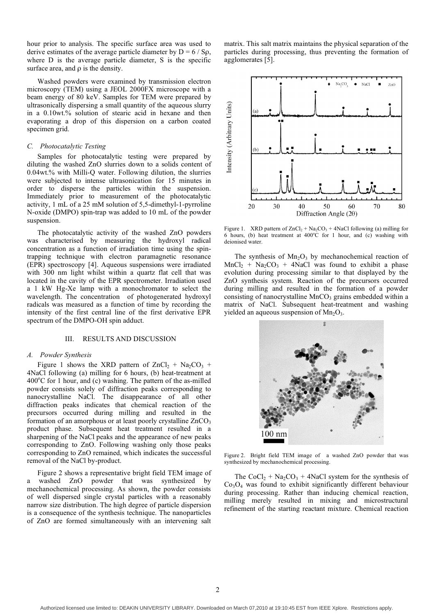hour prior to analysis. The specific surface area was used to derive estimates of the average particle diameter by  $D = 6 / Sp$ , where D is the average particle diameter, S is the specific surface area, and  $\rho$  is the density.

Washed powders were examined by transmission electron microscopy (TEM) using a JEOL 2000FX microscope with a beam energy of 80 keV. Samples for TEM were prepared by ultrasonically dispersing a small quantity of the aqueous slurry in a 0.10wt.% solution of stearic acid in hexane and then evaporating a drop of this dispersion on a carbon coated specimen grid.

#### *C. Photocatalytic Testing*

Samples for photocatalytic testing were prepared by diluting the washed ZnO slurries down to a solids content of 0.04wt.% with Milli-Q water. Following dilution, the slurries were subjected to intense ultrasonication for 15 minutes in order to disperse the particles within the suspension. Immediately prior to measurement of the photocatalytic activity, 1 mL of a 25 mM solution of 5,5-dimethyl-1-pyrroline N-oxide (DMPO) spin-trap was added to 10 mL of the powder suspension.

The photocatalytic activity of the washed ZnO powders was characterised by measuring the hydroxyl radical concentration as a function of irradiation time using the spintrapping technique with electron paramagnetic resonance (EPR) spectroscopy [4]. Aqueous suspensions were irradiated with 300 nm light whilst within a quartz flat cell that was located in the cavity of the EPR spectrometer. Irradiation used a 1 kW Hg-Xe lamp with a monochromator to select the wavelength. The concentration of photogenerated hydroxyl radicals was measured as a function of time by recording the intensity of the first central line of the first derivative EPR spectrum of the DMPO-OH spin adduct.

#### III. RESULTS AND DISCUSSION

#### *A. Powder Synthesis*

Figure 1 shows the XRD pattern of  $ZnCl_2 + Na_2CO_3 +$ 4NaCl following (a) milling for 6 hours, (b) heat-treatment at 400°C for 1 hour, and (c) washing. The pattern of the as-milled powder consists solely of diffraction peaks corresponding to nanocrystalline NaCl. The disappearance of all other diffraction peaks indicates that chemical reaction of the precursors occurred during milling and resulted in the formation of an amorphous or at least poorly crystalline ZnCO<sub>3</sub> product phase. Subsequent heat treatment resulted in a sharpening of the NaCl peaks and the appearance of new peaks corresponding to ZnO. Following washing only those peaks corresponding to ZnO remained, which indicates the successful removal of the NaCl by-product.

Figure 2 shows a representative bright field TEM image of a washed ZnO powder that was synthesized by mechanochemical processing. As shown, the powder consists of well dispersed single crystal particles with a reasonably narrow size distribution. The high degree of particle dispersion is a consequence of the synthesis technique. The nanoparticles of ZnO are formed simultaneously with an intervening salt

matrix. This salt matrix maintains the physical separation of the particles during processing, thus preventing the formation of agglomerates [5].



Figure 1. XRD pattern of  $ZnCl_2 + Na_2CO_3 + 4NaCl$  following (a) milling for 6 hours, (b) heat treatment at  $400^{\circ}$ C for 1 hour, and (c) washing with deionised water.

The synthesis of  $Mn<sub>2</sub>O<sub>3</sub>$  by mechanochemical reaction of  $MnCl<sub>2</sub> + Na<sub>2</sub>CO<sub>3</sub> + 4NaCl$  was found to exhibit a phase evolution during processing similar to that displayed by the ZnO synthesis system. Reaction of the precursors occurred during milling and resulted in the formation of a powder consisting of nanocrystalline  $MnCO<sub>3</sub>$  grains embedded within a matrix of NaCl. Subsequent heat-treatment and washing yielded an aqueous suspension of  $Mn_2O_3$ .



Figure 2. Bright field TEM image of a washed ZnO powder that was synthesized by mechanochemical processing.

The CoCl<sub>2</sub> + Na<sub>2</sub>CO<sub>3</sub> + 4NaCl system for the synthesis of  $Co<sub>3</sub>O<sub>4</sub>$  was found to exhibit significantly different behaviour during processing. Rather than inducing chemical reaction, milling merely resulted in mixing and microstructural refinement of the starting reactant mixture. Chemical reaction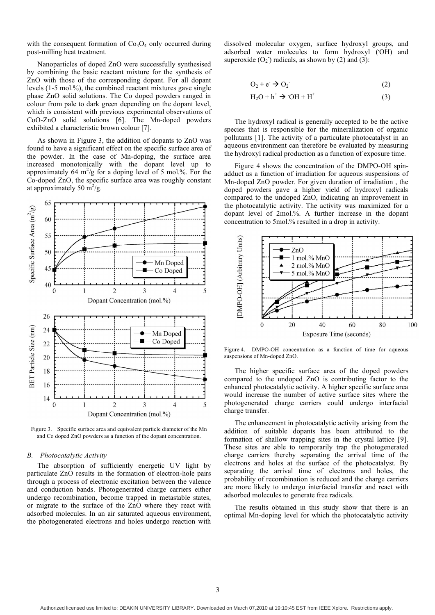with the consequent formation of  $Co<sub>3</sub>O<sub>4</sub>$  only occurred during post-milling heat treatment.

Nanoparticles of doped ZnO were successfully synthesised by combining the basic reactant mixture for the synthesis of ZnO with those of the corresponding dopant. For all dopant levels (1-5 mol.%), the combined reactant mixtures gave single phase ZnO solid solutions. The Co doped powders ranged in colour from pale to dark green depending on the dopant level, which is consistent with previous experimental observations of CoO-ZnO solid solutions [6]. The Mn-doped powders exhibited a characteristic brown colour [7].

As shown in Figure 3, the addition of dopants to ZnO was found to have a significant effect on the specific surface area of the powder. In the case of Mn-doping, the surface area increased monotonically with the dopant level up to approximately 64  $m^2/g$  for a doping level of 5 mol.%. For the Co-doped ZnO, the specific surface area was roughly constant at approximately 50  $\frac{\text{m}^2}{\text{g}}$ .



Figure 3. Specific surface area and equivalent particle diameter of the Mn and Co doped ZnO powders as a function of the dopant concentration.

#### *B. Photocatalytic Activity*

The absorption of sufficiently energetic UV light by particulate ZnO results in the formation of electron-hole pairs through a process of electronic excitation between the valence and conduction bands. Photogenerated charge carriers either undergo recombination, become trapped in metastable states, or migrate to the surface of the ZnO where they react with adsorbed molecules. In an air saturated aqueous environment, the photogenerated electrons and holes undergo reaction with

dissolved molecular oxygen, surface hydroxyl groups, and adsorbed water molecules to form hydroxyl (OH) and superoxide  $(O_2)$  radicals, as shown by (2) and (3):

$$
O_2 + e^- \rightarrow O_2 \tag{2}
$$

$$
H_2O + h^+ \rightarrow OH + H^+ \tag{3}
$$

The hydroxyl radical is generally accepted to be the active species that is responsible for the mineralization of organic pollutants [1]. The activity of a particulate photocatalyst in an aqueous environment can therefore be evaluated by measuring the hydroxyl radical production as a function of exposure time.

Figure 4 shows the concentration of the DMPO-OH spinadduct as a function of irradiation for aqueous suspensions of Mn-doped ZnO powder. For given duration of irradiation , the doped powders gave a higher yield of hydroxyl radicals compared to the undoped ZnO, indicating an improvement in the photocatalytic activity. The activity was maximized for a dopant level of 2mol.%. A further increase in the dopant concentration to 5mol.% resulted in a drop in activity.



Figure 4. DMPO-OH concentration as a function of time for aqueous suspensions of Mn-doped ZnO.

The higher specific surface area of the doped powders compared to the undoped ZnO is contributing factor to the enhanced photocatalytic activity. A higher specific surface area would increase the number of active surface sites where the photogenerated charge carriers could undergo interfacial charge transfer.

The enhancement in photocatalytic activity arising from the addition of suitable dopants has been attributed to the formation of shallow trapping sites in the crystal lattice [9]. These sites are able to temporarily trap the photogenerated charge carriers thereby separating the arrival time of the electrons and holes at the surface of the photocatalyst. By separating the arrival time of electrons and holes, the probability of recombination is reduced and the charge carriers are more likely to undergo interfacial transfer and react with adsorbed molecules to generate free radicals.

The results obtained in this study show that there is an optimal Mn-doping level for which the photocatalytic activity